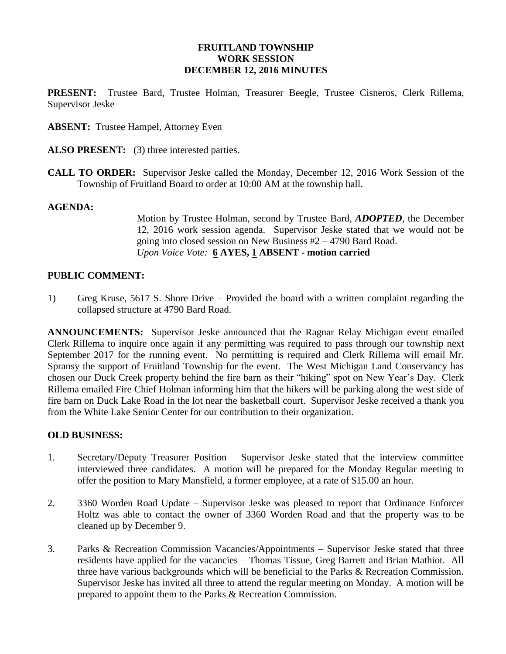### **FRUITLAND TOWNSHIP WORK SESSION DECEMBER 12, 2016 MINUTES**

**PRESENT:** Trustee Bard, Trustee Holman, Treasurer Beegle, Trustee Cisneros, Clerk Rillema, Supervisor Jeske

**ABSENT:** Trustee Hampel, Attorney Even

- **ALSO PRESENT:** (3) three interested parties.
- **CALL TO ORDER:** Supervisor Jeske called the Monday, December 12, 2016 Work Session of the Township of Fruitland Board to order at 10:00 AM at the township hall.

#### **AGENDA:**

Motion by Trustee Holman, second by Trustee Bard, *ADOPTED*, the December 12, 2016 work session agenda. Supervisor Jeske stated that we would not be going into closed session on New Business #2 – 4790 Bard Road. *Upon Voice Vote:* **6 AYES, 1 ABSENT - motion carried**

### **PUBLIC COMMENT:**

1) Greg Kruse, 5617 S. Shore Drive – Provided the board with a written complaint regarding the collapsed structure at 4790 Bard Road.

**ANNOUNCEMENTS:** Supervisor Jeske announced that the Ragnar Relay Michigan event emailed Clerk Rillema to inquire once again if any permitting was required to pass through our township next September 2017 for the running event. No permitting is required and Clerk Rillema will email Mr. Spransy the support of Fruitland Township for the event. The West Michigan Land Conservancy has chosen our Duck Creek property behind the fire barn as their "hiking" spot on New Year's Day. Clerk Rillema emailed Fire Chief Holman informing him that the hikers will be parking along the west side of fire barn on Duck Lake Road in the lot near the basketball court. Supervisor Jeske received a thank you from the White Lake Senior Center for our contribution to their organization.

#### **OLD BUSINESS:**

- 1. Secretary/Deputy Treasurer Position Supervisor Jeske stated that the interview committee interviewed three candidates. A motion will be prepared for the Monday Regular meeting to offer the position to Mary Mansfield, a former employee, at a rate of \$15.00 an hour.
- 2. 3360 Worden Road Update Supervisor Jeske was pleased to report that Ordinance Enforcer Holtz was able to contact the owner of 3360 Worden Road and that the property was to be cleaned up by December 9.
- 3. Parks & Recreation Commission Vacancies/Appointments Supervisor Jeske stated that three residents have applied for the vacancies – Thomas Tissue, Greg Barrett and Brian Mathiot. All three have various backgrounds which will be beneficial to the Parks & Recreation Commission. Supervisor Jeske has invited all three to attend the regular meeting on Monday. A motion will be prepared to appoint them to the Parks & Recreation Commission.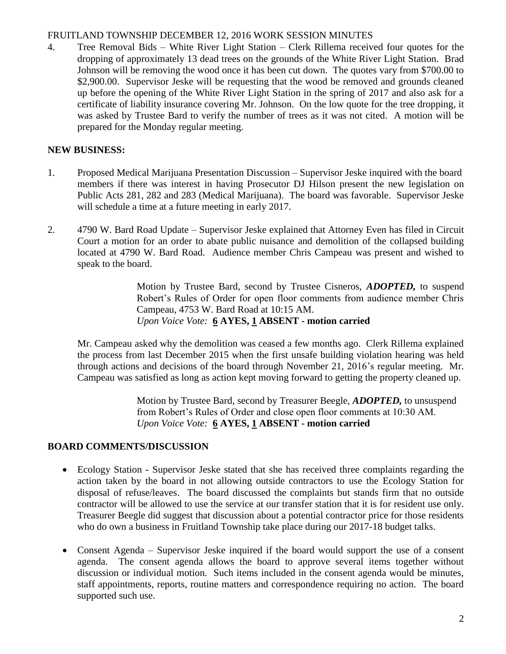### FRUITLAND TOWNSHIP DECEMBER 12, 2016 WORK SESSION MINUTES

4. Tree Removal Bids – White River Light Station – Clerk Rillema received four quotes for the dropping of approximately 13 dead trees on the grounds of the White River Light Station. Brad Johnson will be removing the wood once it has been cut down. The quotes vary from \$700.00 to \$2,900.00. Supervisor Jeske will be requesting that the wood be removed and grounds cleaned up before the opening of the White River Light Station in the spring of 2017 and also ask for a certificate of liability insurance covering Mr. Johnson. On the low quote for the tree dropping, it was asked by Trustee Bard to verify the number of trees as it was not cited. A motion will be prepared for the Monday regular meeting.

## **NEW BUSINESS:**

- 1. Proposed Medical Marijuana Presentation Discussion Supervisor Jeske inquired with the board members if there was interest in having Prosecutor DJ Hilson present the new legislation on Public Acts 281, 282 and 283 (Medical Marijuana). The board was favorable. Supervisor Jeske will schedule a time at a future meeting in early 2017.
- 2. 4790 W. Bard Road Update Supervisor Jeske explained that Attorney Even has filed in Circuit Court a motion for an order to abate public nuisance and demolition of the collapsed building located at 4790 W. Bard Road. Audience member Chris Campeau was present and wished to speak to the board.

Motion by Trustee Bard, second by Trustee Cisneros, *ADOPTED,* to suspend Robert's Rules of Order for open floor comments from audience member Chris Campeau, 4753 W. Bard Road at 10:15 AM. *Upon Voice Vote:* **6 AYES, 1 ABSENT - motion carried**

Mr. Campeau asked why the demolition was ceased a few months ago. Clerk Rillema explained the process from last December 2015 when the first unsafe building violation hearing was held through actions and decisions of the board through November 21, 2016's regular meeting. Mr. Campeau was satisfied as long as action kept moving forward to getting the property cleaned up.

> Motion by Trustee Bard, second by Treasurer Beegle, *ADOPTED,* to unsuspend from Robert's Rules of Order and close open floor comments at 10:30 AM. *Upon Voice Vote:* **6 AYES, 1 ABSENT - motion carried**

# **BOARD COMMENTS/DISCUSSION**

- Ecology Station Supervisor Jeske stated that she has received three complaints regarding the action taken by the board in not allowing outside contractors to use the Ecology Station for disposal of refuse/leaves. The board discussed the complaints but stands firm that no outside contractor will be allowed to use the service at our transfer station that it is for resident use only. Treasurer Beegle did suggest that discussion about a potential contractor price for those residents who do own a business in Fruitland Township take place during our 2017-18 budget talks.
- Consent Agenda Supervisor Jeske inquired if the board would support the use of a consent agenda. The consent agenda allows the board to approve several items together without discussion or individual motion. Such items included in the consent agenda would be minutes, staff appointments, reports, routine matters and correspondence requiring no action. The board supported such use.